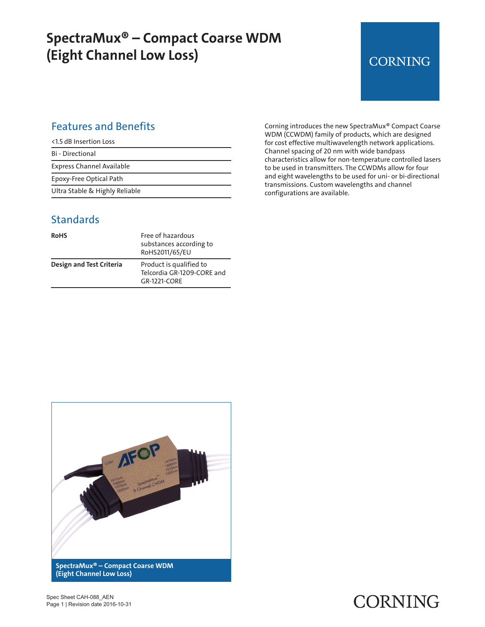## **SpectraMux® – Compact Coarse WDM (Eight Channel Low Loss)**

### **CORNING**

### Features and Benefits

| <1.5 dB Insertion Loss           |
|----------------------------------|
| <b>Bi</b> - Directional          |
| <b>Express Channel Available</b> |
| Epoxy-Free Optical Path          |
| Ultra Stable & Highly Reliable   |

**Standards** 

| <b>RoHS</b>              | Free of hazardous<br>substances according to<br>RoHS2011/65/EU        |
|--------------------------|-----------------------------------------------------------------------|
| Design and Test Criteria | Product is qualified to<br>Telcordia GR-1209-CORE and<br>GR-1221-CORE |

Corning introduces the new SpectraMux® Compact Coarse WDM (CCWDM) family of products, which are designed for cost effective multiwavelength network applications. Channel spacing of 20 nm with wide bandpass characteristics allow for non-temperature controlled lasers to be used in transmitters. The CCWDMs allow for four and eight wavelengths to be used for uni- or bi-directional transmissions. Custom wavelengths and channel configurations are available.



Spec Sheet CAH-088\_AEN Page 1 | Revision date 2016-10-31

# CORNING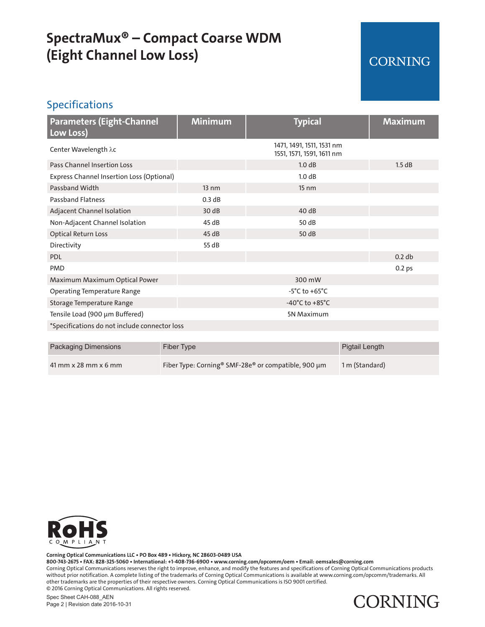## **SpectraMux® – Compact Coarse WDM (Eight Channel Low Loss)**

### **CORNING**

#### Specifications

| <b>Parameters (Eight-Channel</b><br>Low Loss) | <b>Minimum</b>  | <b>Typical</b>                                         | <b>Maximum</b>    |
|-----------------------------------------------|-----------------|--------------------------------------------------------|-------------------|
| Center Wavelength λc                          |                 | 1471, 1491, 1511, 1531 nm<br>1551, 1571, 1591, 1611 nm |                   |
| <b>Pass Channel Insertion Loss</b>            |                 | 1.0 dB                                                 | 1.5 dB            |
| Express Channel Insertion Loss (Optional)     |                 | 1.0 dB                                                 |                   |
| Passband Width                                | $13 \text{ nm}$ | $15 \text{ nm}$                                        |                   |
| <b>Passband Flatness</b>                      | 0.3 dB          |                                                        |                   |
| Adjacent Channel Isolation                    | 30dB            | 40dB                                                   |                   |
| Non-Adjacent Channel Isolation                | 45 dB           | 50 dB                                                  |                   |
| <b>Optical Return Loss</b>                    | 45dB            | 50 dB                                                  |                   |
| Directivity                                   | 55 dB           |                                                        |                   |
| <b>PDL</b>                                    |                 |                                                        | 0.2 db            |
| <b>PMD</b>                                    |                 |                                                        | 0.2 <sub>ps</sub> |
| Maximum Maximum Optical Power                 |                 | 300 mW                                                 |                   |
| <b>Operating Temperature Range</b>            |                 | $-5^{\circ}$ C to $+65^{\circ}$ C                      |                   |
| Storage Temperature Range                     |                 | -40 $^{\circ}$ C to +85 $^{\circ}$ C                   |                   |
| Tensile Load (900 µm Buffered)                |                 | 5N Maximum                                             |                   |
| *Specifications do not include connector loss |                 |                                                        |                   |

| Packaging Dimensions   | Fiber Type                                                      | Pigtail Length |
|------------------------|-----------------------------------------------------------------|----------------|
| $41$ mm x 28 mm x 6 mm | Fiber Type: Corning <sup>®</sup> SMF-28e® or compatible, 900 µm | 1 m (Standard) |



**Corning Optical Communications LLC • PO Box 489 • Hickory, NC 28603-0489 USA 800-743-2675 • FAX: 828-325-5060 • International: +1-408-736-6900 • www.corning.com/opcomm/oem • Email: oemsales@corning.com** Corning Optical Communications reserves the right to improve, enhance, and modify the features and specifications of Corning Optical Communications products without prior notification. A complete listing of the trademarks of Corning Optical Communications is available at www.corning.com/opcomm/trademarks. All other trademarks are the properties of their respective owners. Corning Optical Communications is ISO 9001 certified. © 2016 Corning Optical Communications. All rights reserved.